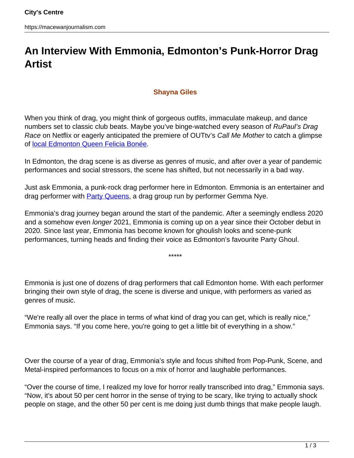## **An Interview With Emmonia, Edmonton's Punk-Horror Drag Artist**

## **Shayna Giles**

When you think of drag, you might think of gorgeous outfits, immaculate makeup, and dance numbers set to classic club beats. Maybe you've binge-watched every season of RuPaul's Drag Race on Netflix or eagerly anticipated the premiere of OUTtv's Call Me Mother to catch a glimpse of [local Edmonton Queen Felicia Bonée.](https://edmontonjournal.com/entertainment/television/outtvs-call-me-mother-stars-local-drag-queen-felicia-bonee)

In Edmonton, the drag scene is as diverse as genres of music, and after over a year of pandemic performances and social stressors, the scene has shifted, but not necessarily in a bad way.

Just ask Emmonia, a punk-rock drag performer here in Edmonton. Emmonia is an entertainer and drag performer with **Party Queens**, a drag group run by performer Gemma Nye.

Emmonia's drag journey began around the start of the pandemic. After a seemingly endless 2020 and a somehow even longer 2021, Emmonia is coming up on a year since their October debut in 2020. Since last year, Emmonia has become known for ghoulish looks and scene-punk performances, turning heads and finding their voice as Edmonton's favourite Party Ghoul.

\*\*\*\*\*

Emmonia is just one of dozens of drag performers that call Edmonton home. With each performer bringing their own style of drag, the scene is diverse and unique, with performers as varied as genres of music.

"We're really all over the place in terms of what kind of drag you can get, which is really nice," Emmonia says. "If you come here, you're going to get a little bit of everything in a show."

Over the course of a year of drag, Emmonia's style and focus shifted from Pop-Punk, Scene, and Metal-inspired performances to focus on a mix of horror and laughable performances.

"Over the course of time, I realized my love for horror really transcribed into drag," Emmonia says. "Now, it's about 50 per cent horror in the sense of trying to be scary, like trying to actually shock people on stage, and the other 50 per cent is me doing just dumb things that make people laugh.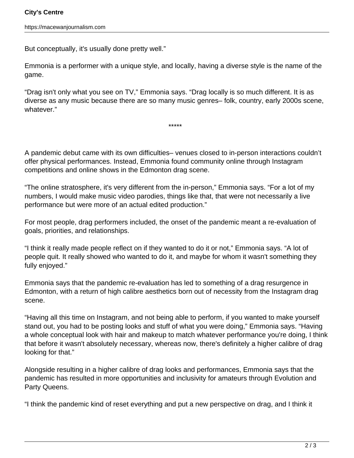But conceptually, it's usually done pretty well."

Emmonia is a performer with a unique style, and locally, having a diverse style is the name of the game.

"Drag isn't only what you see on TV," Emmonia says. "Drag locally is so much different. It is as diverse as any music because there are so many music genres– folk, country, early 2000s scene, whatever."

\*\*\*\*\*

A pandemic debut came with its own difficulties– venues closed to in-person interactions couldn't offer physical performances. Instead, Emmonia found community online through Instagram competitions and online shows in the Edmonton drag scene.

"The online stratosphere, it's very different from the in-person," Emmonia says. "For a lot of my numbers, I would make music video parodies, things like that, that were not necessarily a live performance but were more of an actual edited production."

For most people, drag performers included, the onset of the pandemic meant a re-evaluation of goals, priorities, and relationships.

"I think it really made people reflect on if they wanted to do it or not," Emmonia says. "A lot of people quit. It really showed who wanted to do it, and maybe for whom it wasn't something they fully enjoyed."

Emmonia says that the pandemic re-evaluation has led to something of a drag resurgence in Edmonton, with a return of high calibre aesthetics born out of necessity from the Instagram drag scene.

"Having all this time on Instagram, and not being able to perform, if you wanted to make yourself stand out, you had to be posting looks and stuff of what you were doing," Emmonia says. "Having a whole conceptual look with hair and makeup to match whatever performance you're doing, I think that before it wasn't absolutely necessary, whereas now, there's definitely a higher calibre of drag looking for that."

Alongside resulting in a higher calibre of drag looks and performances, Emmonia says that the pandemic has resulted in more opportunities and inclusivity for amateurs through Evolution and Party Queens.

"I think the pandemic kind of reset everything and put a new perspective on drag, and I think it